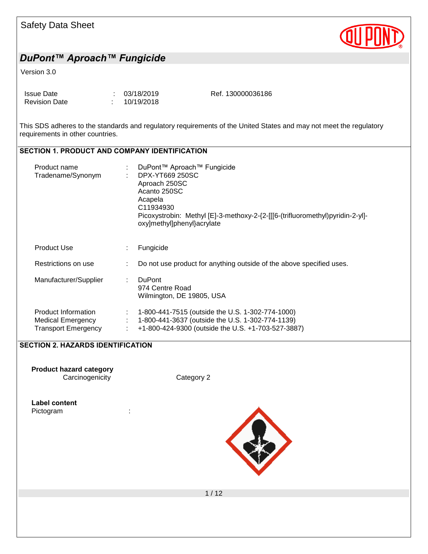| <b>Safety Data Sheet</b> |  |  |
|--------------------------|--|--|
|--------------------------|--|--|



#### Version 3.0

| Issue Date           | : 03/18/2019 | Ref. 130000036186 |
|----------------------|--------------|-------------------|
| <b>Revision Date</b> | : 10/19/2018 |                   |

This SDS adheres to the standards and regulatory requirements of the United States and may not meet the regulatory requirements in other countries.

#### SECTION 1. PRODUCT AND COMPANY IDENTIFICATION

| Product name<br>Tradename/Synonym                               |    | DuPont™ Aproach™ Fungicide<br>DPX-YT669 250SC<br>Aproach 250SC<br>Acanto 250SC<br>Acapela<br>C11934930<br>Picoxystrobin: Methyl [E]-3-methoxy-2-{2-[[[6-(trifluoromethyl)pyridin-2-yl]-<br>oxy]methyl]phenyl}acrylate |
|-----------------------------------------------------------------|----|-----------------------------------------------------------------------------------------------------------------------------------------------------------------------------------------------------------------------|
| <b>Product Use</b>                                              | ÷. | Fungicide                                                                                                                                                                                                             |
| Restrictions on use                                             |    | Do not use product for anything outside of the above specified uses.                                                                                                                                                  |
| Manufacturer/Supplier                                           | ÷  | <b>DuPont</b><br>974 Centre Road<br>Wilmington, DE 19805, USA                                                                                                                                                         |
| Product Information<br>Medical Emergency<br>Transport Emergency |    | 1-800-441-7515 (outside the U.S. 1-302-774-1000)<br>1-800-441-3637 (outside the U.S. 1-302-774-1139)<br>+1-800-424-9300 (outside the U.S. +1-703-527-3887)                                                            |

#### SECTION 2. HAZARDS IDENTIFICATION

**Product hazard category** Carcinogenicity Category 2

# Label content

Pictogram in the set of the set of the set of the set of the set of the set of the set of the set of the set o



 $1/12$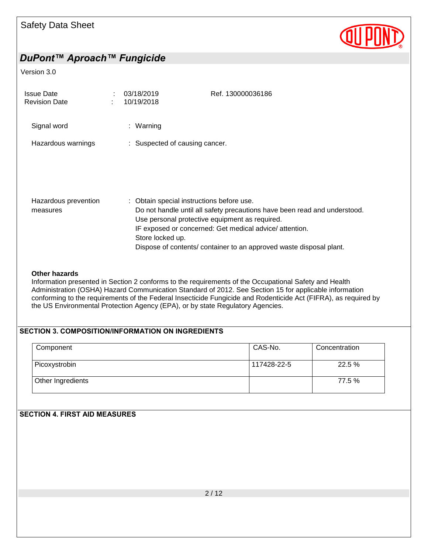

#### Version 3.0

| <b>Issue Date</b><br><b>Revision Date</b> | 03/18/2019<br>10/19/2018                                      | Ref. 130000036186                                                                                                                                                                                                                                            |
|-------------------------------------------|---------------------------------------------------------------|--------------------------------------------------------------------------------------------------------------------------------------------------------------------------------------------------------------------------------------------------------------|
| Signal word                               | : Warning                                                     |                                                                                                                                                                                                                                                              |
| Hazardous warnings                        | : Suspected of causing cancer.                                |                                                                                                                                                                                                                                                              |
|                                           |                                                               |                                                                                                                                                                                                                                                              |
| Hazardous prevention<br>measures          | : Obtain special instructions before use.<br>Store locked up. | Do not handle until all safety precautions have been read and understood.<br>Use personal protective equipment as required.<br>IF exposed or concerned: Get medical advice/attention.<br>Dispose of contents/ container to an approved waste disposal plant. |

#### **Other hazards**

Information presented in Section 2 conforms to the requirements of the Occupational Safety and Health Administration (OSHA) Hazard Communication Standard of 2012. See Section 15 for applicable information conforming to the requirements of the Federal Insecticide Fungicide and Rodenticide Act (FIFRA), as required by the US Environmental Protection Agency (EPA), or by state Regulatory Agencies.

#### SECTION 3. COMPOSITION/INFORMATION ON INGREDIENTS

| Component         | CAS-No.     | Concentration |
|-------------------|-------------|---------------|
| Picoxystrobin     | 117428-22-5 | 22.5 %        |
| Other Ingredients |             | 77.5 %        |

#### SECTION 4. FIRST AID MEASURES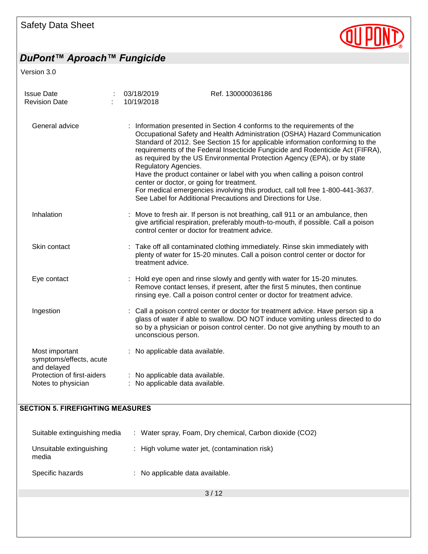# **QUIPOND**

# *DuPont™ Aproach™ Fungicide*

Version 3.0

| <b>Issue Date</b><br><b>Revision Date</b>                       | 03/18/2019<br>10/19/2018                                          | Ref. 130000036186                                                                                                                                                                                                                                                                                                                                                                                                                                                                                                                                                                                                                    |
|-----------------------------------------------------------------|-------------------------------------------------------------------|--------------------------------------------------------------------------------------------------------------------------------------------------------------------------------------------------------------------------------------------------------------------------------------------------------------------------------------------------------------------------------------------------------------------------------------------------------------------------------------------------------------------------------------------------------------------------------------------------------------------------------------|
| General advice                                                  | Regulatory Agencies.<br>center or doctor, or going for treatment. | : Information presented in Section 4 conforms to the requirements of the<br>Occupational Safety and Health Administration (OSHA) Hazard Communication<br>Standard of 2012. See Section 15 for applicable information conforming to the<br>requirements of the Federal Insecticide Fungicide and Rodenticide Act (FIFRA),<br>as required by the US Environmental Protection Agency (EPA), or by state<br>Have the product container or label with you when calling a poison control<br>For medical emergencies involving this product, call toll free 1-800-441-3637.<br>See Label for Additional Precautions and Directions for Use. |
| Inhalation                                                      | control center or doctor for treatment advice.                    | : Move to fresh air. If person is not breathing, call 911 or an ambulance, then<br>give artificial respiration, preferably mouth-to-mouth, if possible. Call a poison                                                                                                                                                                                                                                                                                                                                                                                                                                                                |
| Skin contact                                                    | treatment advice.                                                 | : Take off all contaminated clothing immediately. Rinse skin immediately with<br>plenty of water for 15-20 minutes. Call a poison control center or doctor for                                                                                                                                                                                                                                                                                                                                                                                                                                                                       |
| Eye contact                                                     |                                                                   | : Hold eye open and rinse slowly and gently with water for 15-20 minutes.<br>Remove contact lenses, if present, after the first 5 minutes, then continue<br>rinsing eye. Call a poison control center or doctor for treatment advice.                                                                                                                                                                                                                                                                                                                                                                                                |
| Ingestion                                                       | unconscious person.                                               | : Call a poison control center or doctor for treatment advice. Have person sip a<br>glass of water if able to swallow. DO NOT induce vomiting unless directed to do<br>so by a physician or poison control center. Do not give anything by mouth to an                                                                                                                                                                                                                                                                                                                                                                               |
| Most important<br>symptoms/effects, acute                       | : No applicable data available.                                   |                                                                                                                                                                                                                                                                                                                                                                                                                                                                                                                                                                                                                                      |
| and delayed<br>Protection of first-aiders<br>Notes to physician | No applicable data available.<br>No applicable data available.    |                                                                                                                                                                                                                                                                                                                                                                                                                                                                                                                                                                                                                                      |
| <b>SECTION 5. FIREFIGHTING MEASURES</b>                         |                                                                   |                                                                                                                                                                                                                                                                                                                                                                                                                                                                                                                                                                                                                                      |
| Suitable extinguishing media                                    |                                                                   | : Water spray, Foam, Dry chemical, Carbon dioxide (CO2)                                                                                                                                                                                                                                                                                                                                                                                                                                                                                                                                                                              |
| Unsuitable extinguishing<br>media                               | t.                                                                | High volume water jet, (contamination risk)                                                                                                                                                                                                                                                                                                                                                                                                                                                                                                                                                                                          |
| Specific hazards                                                | No applicable data available.                                     |                                                                                                                                                                                                                                                                                                                                                                                                                                                                                                                                                                                                                                      |
|                                                                 |                                                                   | 3/12                                                                                                                                                                                                                                                                                                                                                                                                                                                                                                                                                                                                                                 |
|                                                                 |                                                                   |                                                                                                                                                                                                                                                                                                                                                                                                                                                                                                                                                                                                                                      |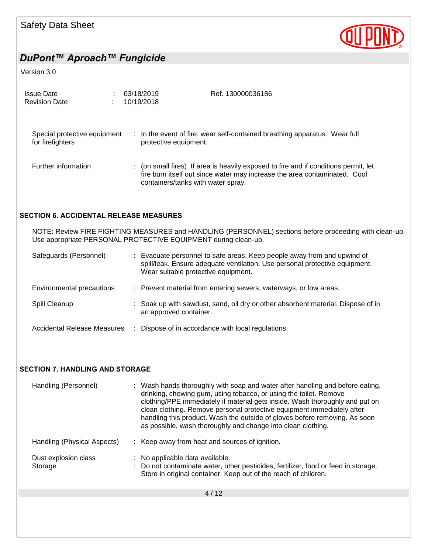

#### Version 3.0

| <b>Issue Date</b><br><b>Revision Date</b>        | 03/18/2019<br>10/19/2018 | Ref. 130000036186                                                                                                                                                                                    |
|--------------------------------------------------|--------------------------|------------------------------------------------------------------------------------------------------------------------------------------------------------------------------------------------------|
| Special protective equipment<br>for firefighters | protective equipment.    | : In the event of fire, wear self-contained breathing apparatus. Wear full                                                                                                                           |
| Further information                              |                          | (on small fires) If area is heavily exposed to fire and if conditions permit, let<br>fire burn itself out since water may increase the area contaminated. Cool<br>containers/tanks with water spray. |
| <b>SECTION 6. ACCIDENTAL RELEASE MEASURES</b>    |                          |                                                                                                                                                                                                      |
|                                                  |                          | NOTE: Review FIRE FIGHTING MEASURES and HANDLING (PERSONNEL) sections before proceeding with clean-up.<br>Use appropriate PERSONAL PROTECTIVE EQUIPMENT during clean-up.                             |
| Safeguards (Personnel)                           |                          | Evacuate personnel to safe areas. Keep people away from and upwind of<br>spill/leak. Ensure adequate ventilation. Use personal protective equipment.<br>Wear suitable protective equipment.          |
| Environmental precautions                        |                          | : Prevent material from entering sewers, waterways, or low areas.                                                                                                                                    |
| Spill Cleanup                                    |                          | Soak up with sawdust, sand, oil dry or other absorbent material. Dispose of in<br>an approved container.                                                                                             |
| <b>Accidental Release Measures</b>               |                          | Dispose of in accordance with local regulations.                                                                                                                                                     |
|                                                  |                          |                                                                                                                                                                                                      |
|                                                  |                          |                                                                                                                                                                                                      |
| <b>CECTION 7 HANDLING AND CTODAGE</b>            |                          |                                                                                                                                                                                                      |

#### SECTION 7. HANDLING AND STORAGE

| Handling (Personnel)            | : Wash hands thoroughly with soap and water after handling and before eating,<br>drinking, chewing gum, using tobacco, or using the toilet. Remove<br>clothing/PPE immediately if material gets inside. Wash thoroughly and put on<br>clean clothing. Remove personal protective equipment immediately after<br>handling this product. Wash the outside of gloves before removing. As soon<br>as possible, wash thoroughly and change into clean clothing. |
|---------------------------------|------------------------------------------------------------------------------------------------------------------------------------------------------------------------------------------------------------------------------------------------------------------------------------------------------------------------------------------------------------------------------------------------------------------------------------------------------------|
| Handling (Physical Aspects)     | : Keep away from heat and sources of ignition.                                                                                                                                                                                                                                                                                                                                                                                                             |
| Dust explosion class<br>Storage | : No applicable data available.<br>: Do not contaminate water, other pesticides, fertilizer, food or feed in storage.<br>Store in original container. Keep out of the reach of children.                                                                                                                                                                                                                                                                   |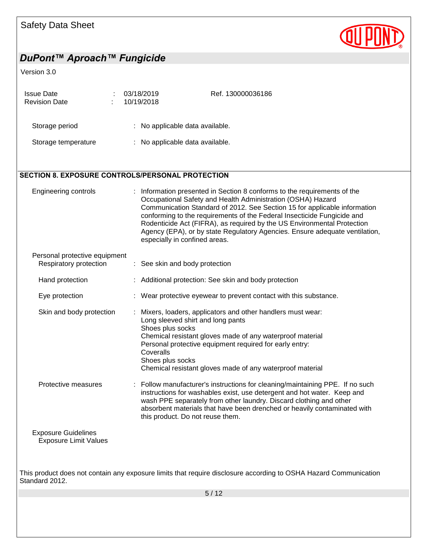

# *DuPont™ Aproach™ Fungicide* Version 3.0 Issue Date : 03/18/2019 Revision Date : 10/19/2018 Ref. 130000036186 Storage period : No applicable data available. Storage temperature : No applicable data available. SECTION 8. EXPOSURE CONTROLS/PERSONAL PROTECTION Engineering controls : Information presented in Section 8 conforms to the requirements of the Occupational Safety and Health Administration (OSHA) Hazard Communication Standard of 2012. See Section 15 for applicable information conforming to the requirements of the Federal Insecticide Fungicide and Rodenticide Act (FIFRA), as required by the US Environmental Protection Agency (EPA), or by state Regulatory Agencies. Ensure adequate ventilation, especially in confined areas. Personal protective equipment Respiratory protection : See skin and body protection Hand protection : Additional protection: See skin and body protection Eye protection : Wear protective eyewear to prevent contact with this substance. Skin and body protection : Mixers, loaders, applicators and other handlers must wear: Long sleeved shirt and long pants Shoes plus socks Chemical resistant gloves made of any waterproof material Personal protective equipment required for early entry: **Coveralls** Shoes plus socks Chemical resistant gloves made of any waterproof material Protective measures : Follow manufacturer's instructions for cleaning/maintaining PPE. If no such instructions for washables exist, use detergent and hot water. Keep and wash PPE separately from other laundry. Discard clothing and other absorbent materials that have been drenched or heavily contaminated with this product. Do not reuse them. Exposure Guidelines

Exposure Limit Values

This product does not contain any exposure limits that require disclosure according to OSHA Hazard Communication Standard 2012.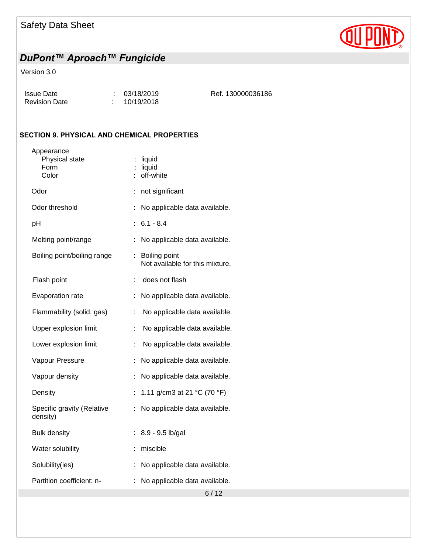# **QUPI**

# *DuPont™ Aproach™ Fungicide*

#### Version 3.0

| Issue Date           | : 03/18/2019 | Ref. 130000036186 |
|----------------------|--------------|-------------------|
| <b>Revision Date</b> | : 10/19/2018 |                   |

#### SECTION 9. PHYSICAL AND CHEMICAL PROPERTIES

| Appearance<br>Physical state<br>Form<br>Color | liquid<br>liquid<br>off-white                          |  |
|-----------------------------------------------|--------------------------------------------------------|--|
| Odor                                          | not significant                                        |  |
| Odor threshold                                | No applicable data available.                          |  |
| pH                                            | $6.1 - 8.4$                                            |  |
| Melting point/range                           | No applicable data available.                          |  |
| Boiling point/boiling range                   | ł,<br>Boiling point<br>Not available for this mixture. |  |
| Flash point                                   | does not flash<br>t.                                   |  |
| Evaporation rate                              | No applicable data available.                          |  |
| Flammability (solid, gas)                     | No applicable data available.<br>t.                    |  |
| Upper explosion limit                         | No applicable data available.<br>÷                     |  |
| Lower explosion limit                         | No applicable data available.<br>t.                    |  |
| Vapour Pressure                               | No applicable data available.<br>÷                     |  |
| Vapour density                                | t<br>No applicable data available.                     |  |
| Density                                       | t<br>1.11 g/cm3 at 21 $^{\circ}$ C (70 $^{\circ}$ F)   |  |
| Specific gravity (Relative<br>density)        | No applicable data available.<br>t                     |  |
| <b>Bulk density</b>                           | 8.9 - 9.5 lb/gal<br>÷                                  |  |
| Water solubility                              | miscible<br>÷                                          |  |
| Solubility(ies)                               | No applicable data available.<br>t                     |  |
| Partition coefficient: n-                     | No applicable data available.<br>t                     |  |
|                                               | 6/12                                                   |  |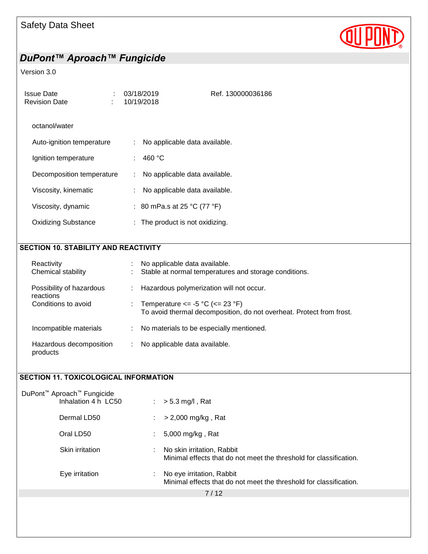

#### Version 3.0

| <b>Issue Date</b><br><b>Revision Date</b>   | 03/18/2019<br>10/19/2018 |                                          | Ref. 130000036186                                                    |
|---------------------------------------------|--------------------------|------------------------------------------|----------------------------------------------------------------------|
| octanol/water                               |                          |                                          |                                                                      |
| Auto-ignition temperature                   |                          | No applicable data available.            |                                                                      |
| Ignition temperature                        |                          | 460 °C                                   |                                                                      |
| Decomposition temperature                   |                          | No applicable data available.            |                                                                      |
| Viscosity, kinematic                        |                          | No applicable data available.            |                                                                      |
| Viscosity, dynamic                          |                          | : 80 mPa.s at 25 °C (77 °F)              |                                                                      |
| <b>Oxidizing Substance</b>                  |                          | : The product is not oxidizing.          |                                                                      |
|                                             |                          |                                          |                                                                      |
| <b>SECTION 10. STABILITY AND REACTIVITY</b> |                          |                                          |                                                                      |
| Reactivity<br>Chemical stability            |                          | No applicable data available.            | Stable at normal temperatures and storage conditions.                |
| Possibility of hazardous                    |                          | Hazardous polymerization will not occur. |                                                                      |
| reactions<br>Conditions to avoid            |                          | Temperature $\le$ -5 °C ( $\le$ 23 °F)   | To avoid thermal decomposition, do not overheat. Protect from frost. |
| Incompatible materials                      |                          | No materials to be especially mentioned. |                                                                      |
|                                             |                          |                                          |                                                                      |

SECTION 11. TOXICOLOGICAL INFORMATION

products

Hazardous decomposition : No applicable data available.

| DuPont <sup>™</sup> Aproach <sup>™</sup> Fungicide<br>Inhalation 4 h LC50 | $> 5.3$ mg/l, Rat<br>÷.                                                                          |
|---------------------------------------------------------------------------|--------------------------------------------------------------------------------------------------|
| Dermal LD50                                                               | $>$ 2,000 mg/kg, Rat                                                                             |
| Oral LD50                                                                 | 5,000 mg/kg, Rat                                                                                 |
| Skin irritation                                                           | No skin irritation, Rabbit<br>Minimal effects that do not meet the threshold for classification. |
| Eye irritation                                                            | No eye irritation, Rabbit<br>Minimal effects that do not meet the threshold for classification.  |
|                                                                           | 7/12                                                                                             |
|                                                                           |                                                                                                  |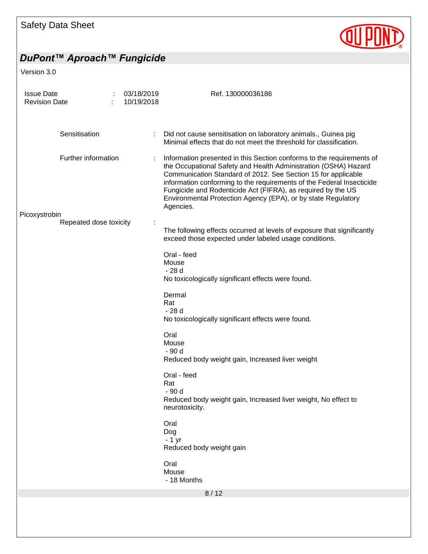

# *DuPont™ Aproach™ Fungicide*

Version 3.0

| <b>Issue Date</b><br><b>Revision Date</b> |                        | ÷ | 03/18/2019<br>10/19/2018 | Ref. 130000036186                                                                                                                                                                                                                                                                                                                                                                                                                |
|-------------------------------------------|------------------------|---|--------------------------|----------------------------------------------------------------------------------------------------------------------------------------------------------------------------------------------------------------------------------------------------------------------------------------------------------------------------------------------------------------------------------------------------------------------------------|
|                                           | Sensitisation          |   |                          | Did not cause sensitisation on laboratory animals., Guinea pig<br>Minimal effects that do not meet the threshold for classification.                                                                                                                                                                                                                                                                                             |
| Picoxystrobin                             | Further information    |   |                          | Information presented in this Section conforms to the requirements of<br>the Occupational Safety and Health Administration (OSHA) Hazard<br>Communication Standard of 2012. See Section 15 for applicable<br>information conforming to the requirements of the Federal Insecticide<br>Fungicide and Rodenticide Act (FIFRA), as required by the US<br>Environmental Protection Agency (EPA), or by state Regulatory<br>Agencies. |
|                                           | Repeated dose toxicity |   |                          | The following effects occurred at levels of exposure that significantly<br>exceed those expected under labeled usage conditions.                                                                                                                                                                                                                                                                                                 |
|                                           |                        |   |                          | Oral - feed<br>Mouse<br>- 28 d<br>No toxicologically significant effects were found.                                                                                                                                                                                                                                                                                                                                             |
|                                           |                        |   |                          | Dermal<br>Rat<br>$-28d$<br>No toxicologically significant effects were found.                                                                                                                                                                                                                                                                                                                                                    |
|                                           |                        |   |                          | Oral<br>Mouse<br>- 90 d<br>Reduced body weight gain, Increased liver weight                                                                                                                                                                                                                                                                                                                                                      |
|                                           |                        |   |                          | Oral - feed<br>Rat<br>- 90 d<br>Reduced body weight gain, Increased liver weight, No effect to<br>neurotoxicity.                                                                                                                                                                                                                                                                                                                 |
|                                           |                        |   |                          | Oral<br>Dog<br>$-1$ yr<br>Reduced body weight gain                                                                                                                                                                                                                                                                                                                                                                               |
|                                           |                        |   |                          | Oral<br>Mouse<br>- 18 Months                                                                                                                                                                                                                                                                                                                                                                                                     |
|                                           |                        |   |                          | 8/12                                                                                                                                                                                                                                                                                                                                                                                                                             |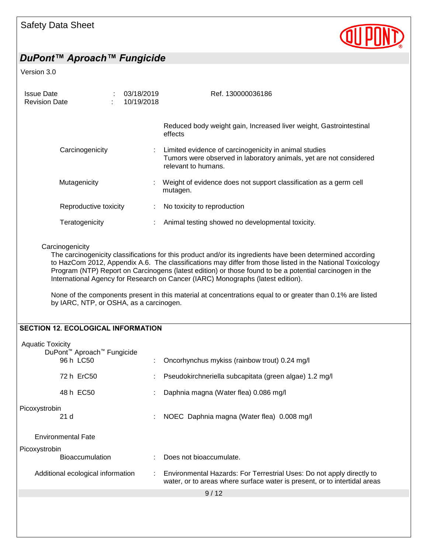

#### Version 3.0

| <b>Issue Date</b><br>03/18/2019<br><b>Revision Date</b><br>10/19/2018 |                       |   | Ref. 130000036186                                                                                                                                  |  |  |
|-----------------------------------------------------------------------|-----------------------|---|----------------------------------------------------------------------------------------------------------------------------------------------------|--|--|
|                                                                       |                       |   | Reduced body weight gain, Increased liver weight, Gastrointestinal<br>effects                                                                      |  |  |
|                                                                       | Carcinogenicity       |   | Limited evidence of carcinogenicity in animal studies<br>Tumors were observed in laboratory animals, yet are not considered<br>relevant to humans. |  |  |
| Mutagenicity                                                          |                       | ÷ | Weight of evidence does not support classification as a germ cell<br>mutagen.                                                                      |  |  |
|                                                                       | Reproductive toxicity |   | No toxicity to reproduction                                                                                                                        |  |  |
| Teratogenicity                                                        |                       |   | Animal testing showed no developmental toxicity.                                                                                                   |  |  |

#### **Carcinogenicity**

The carcinogenicity classifications for this product and/or its ingredients have been determined according to HazCom 2012, Appendix A.6. The classifications may differ from those listed in the National Toxicology Program (NTP) Report on Carcinogens (latest edition) or those found to be a potential carcinogen in the International Agency for Research on Cancer (IARC) Monographs (latest edition).

None of the components present in this material at concentrations equal to or greater than 0.1% are listed by IARC, NTP, or OSHA, as a carcinogen.

#### SECTION 12. ECOLOGICAL INFORMATION

| <b>Aquatic Toxicity</b><br>DuPont <sup>™</sup> Aproach <sup>™</sup> Fungicide |    |                                                                                                                                                                                  |  |
|-------------------------------------------------------------------------------|----|----------------------------------------------------------------------------------------------------------------------------------------------------------------------------------|--|
| 96 h LC50                                                                     |    | Oncorhynchus mykiss (rainbow trout) 0.24 mg/l                                                                                                                                    |  |
| 72 h ErC50                                                                    |    | Pseudokirchneriella subcapitata (green algae) 1.2 mg/l                                                                                                                           |  |
| 48 h EC50                                                                     |    | Daphnia magna (Water flea) 0.086 mg/l                                                                                                                                            |  |
| Picoxystrobin<br>21 <sub>d</sub>                                              | ÷. | NOEC Daphnia magna (Water flea) 0.008 mg/l                                                                                                                                       |  |
| <b>Environmental Fate</b>                                                     |    |                                                                                                                                                                                  |  |
| Picoxystrobin                                                                 |    |                                                                                                                                                                                  |  |
| <b>Bioaccumulation</b>                                                        |    | Does not bioaccumulate.                                                                                                                                                          |  |
| Additional ecological information                                             |    | Environmental Hazards: For Terrestrial Uses: Do not apply directly to<br>$\mathcal{L}^{\text{max}}$<br>water, or to areas where surface water is present, or to intertidal areas |  |
| 9/12                                                                          |    |                                                                                                                                                                                  |  |
|                                                                               |    |                                                                                                                                                                                  |  |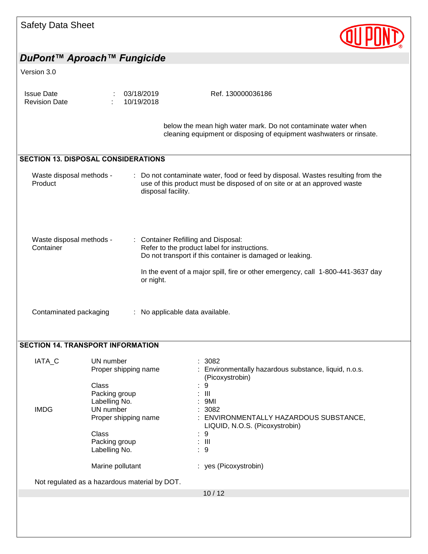| <b>Safety Data Sheet</b>                                |                                                                                                               |                                                                                                                                                                                                                                          |  |  |  |
|---------------------------------------------------------|---------------------------------------------------------------------------------------------------------------|------------------------------------------------------------------------------------------------------------------------------------------------------------------------------------------------------------------------------------------|--|--|--|
|                                                         | DuPont™ Aproach™ Fungicide                                                                                    |                                                                                                                                                                                                                                          |  |  |  |
| Version 3.0                                             |                                                                                                               |                                                                                                                                                                                                                                          |  |  |  |
| <b>Issue Date</b><br><b>Revision Date</b>               | 03/18/2019<br>10/19/2018                                                                                      | Ref. 130000036186                                                                                                                                                                                                                        |  |  |  |
|                                                         |                                                                                                               | below the mean high water mark. Do not contaminate water when<br>cleaning equipment or disposing of equipment washwaters or rinsate.                                                                                                     |  |  |  |
|                                                         | <b>SECTION 13. DISPOSAL CONSIDERATIONS</b>                                                                    |                                                                                                                                                                                                                                          |  |  |  |
| Waste disposal methods -<br>Product                     | ÷<br>disposal facility.                                                                                       | Do not contaminate water, food or feed by disposal. Wastes resulting from the<br>use of this product must be disposed of on site or at an approved waste                                                                                 |  |  |  |
| Waste disposal methods -<br>Container                   | or night.                                                                                                     | <b>Container Refilling and Disposal:</b><br>Refer to the product label for instructions.<br>Do not transport if this container is damaged or leaking.<br>In the event of a major spill, fire or other emergency, call 1-800-441-3637 day |  |  |  |
| Contaminated packaging<br>No applicable data available. |                                                                                                               |                                                                                                                                                                                                                                          |  |  |  |
|                                                         | <b>SECTION 14. TRANSPORT INFORMATION</b>                                                                      |                                                                                                                                                                                                                                          |  |  |  |
| IATA_C                                                  | UN number<br>Proper shipping name                                                                             | 3082<br>Environmentally hazardous substance, liquid, n.o.s.<br>(Picoxystrobin)                                                                                                                                                           |  |  |  |
| <b>IMDG</b>                                             | Class<br>Packing group<br>Labelling No.<br>UN number<br>Proper shipping name<br><b>Class</b><br>Packing group | 9<br>$\mathbf{III}$<br>9MI<br>: 3082<br>: ENVIRONMENTALLY HAZARDOUS SUBSTANCE,<br>LIQUID, N.O.S. (Picoxystrobin)<br>9<br>: III                                                                                                           |  |  |  |
|                                                         | Labelling No.<br>Marine pollutant                                                                             | :9<br>: yes (Picoxystrobin)                                                                                                                                                                                                              |  |  |  |
|                                                         |                                                                                                               |                                                                                                                                                                                                                                          |  |  |  |
|                                                         | Not regulated as a hazardous material by DOT.                                                                 | 10/12                                                                                                                                                                                                                                    |  |  |  |
|                                                         |                                                                                                               |                                                                                                                                                                                                                                          |  |  |  |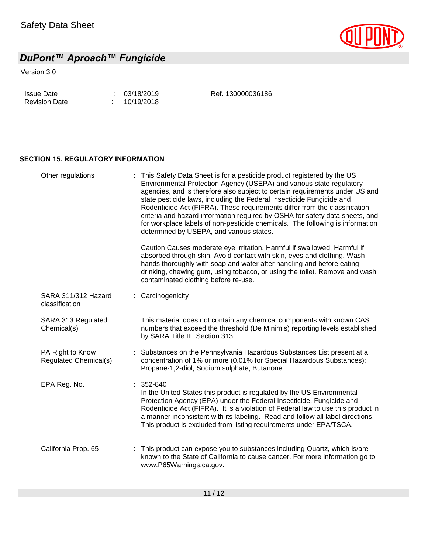

# *DuPont™ Aproach™ Fungicide*

#### Version 3.0

| <b>Issue Date</b>    | : 03/18/2019 |
|----------------------|--------------|
| <b>Revision Date</b> | 10/19/2018   |

Ref. 130000036186

#### SECTION 15. REGULATORY INFORMATION

| Other regulations                         | : This Safety Data Sheet is for a pesticide product registered by the US<br>Environmental Protection Agency (USEPA) and various state regulatory<br>agencies, and is therefore also subject to certain requirements under US and<br>state pesticide laws, including the Federal Insecticide Fungicide and<br>Rodenticide Act (FIFRA). These requirements differ from the classification<br>criteria and hazard information required by OSHA for safety data sheets, and<br>for workplace labels of non-pesticide chemicals. The following is information<br>determined by USEPA, and various states. |
|-------------------------------------------|------------------------------------------------------------------------------------------------------------------------------------------------------------------------------------------------------------------------------------------------------------------------------------------------------------------------------------------------------------------------------------------------------------------------------------------------------------------------------------------------------------------------------------------------------------------------------------------------------|
|                                           | Caution Causes moderate eye irritation. Harmful if swallowed. Harmful if<br>absorbed through skin. Avoid contact with skin, eyes and clothing. Wash<br>hands thoroughly with soap and water after handling and before eating,<br>drinking, chewing gum, using tobacco, or using the toilet. Remove and wash<br>contaminated clothing before re-use.                                                                                                                                                                                                                                                  |
| SARA 311/312 Hazard<br>classification     | Carcinogenicity                                                                                                                                                                                                                                                                                                                                                                                                                                                                                                                                                                                      |
| SARA 313 Regulated<br>Chemical(s)         | This material does not contain any chemical components with known CAS<br>numbers that exceed the threshold (De Minimis) reporting levels established<br>by SARA Title III, Section 313.                                                                                                                                                                                                                                                                                                                                                                                                              |
| PA Right to Know<br>Regulated Chemical(s) | : Substances on the Pennsylvania Hazardous Substances List present at a<br>concentration of 1% or more (0.01% for Special Hazardous Substances):<br>Propane-1,2-diol, Sodium sulphate, Butanone                                                                                                                                                                                                                                                                                                                                                                                                      |
| EPA Reg. No.                              | $: 352 - 840$<br>In the United States this product is regulated by the US Environmental<br>Protection Agency (EPA) under the Federal Insecticide, Fungicide and<br>Rodenticide Act (FIFRA). It is a violation of Federal law to use this product in<br>a manner inconsistent with its labeling. Read and follow all label directions.<br>This product is excluded from listing requirements under EPA/TSCA.                                                                                                                                                                                          |
| California Prop. 65                       | : This product can expose you to substances including Quartz, which is/are<br>known to the State of California to cause cancer. For more information go to<br>www.P65Warnings.ca.gov.                                                                                                                                                                                                                                                                                                                                                                                                                |
|                                           |                                                                                                                                                                                                                                                                                                                                                                                                                                                                                                                                                                                                      |